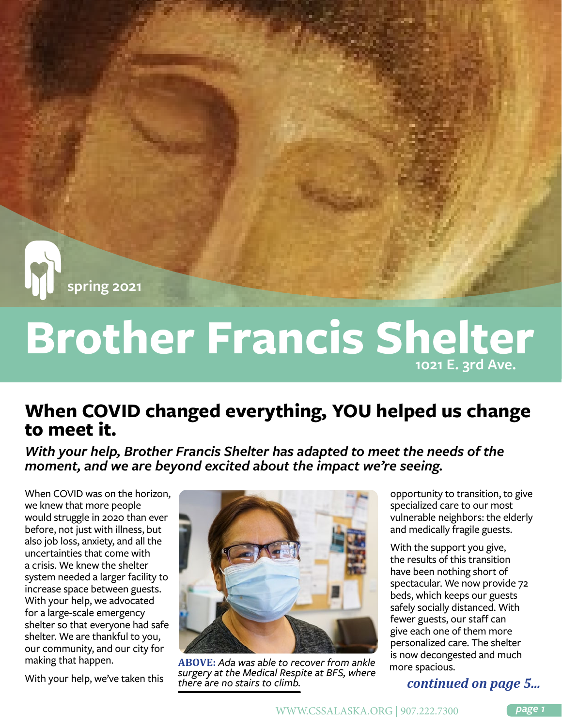

# **Brother Francis Shelter 1021 E. 3rd Ave.**

# **When COVID changed everything, YOU helped us change to meet it.**

With your help, Brother Francis Shelter has adapted to meet the needs of the *moment, and we are beyond excited about the impact we're seeing.*

When COVID was on the horizon, we knew that more people would struggle in 2020 than ever before, not just with illness, but also job loss, anxiety, and all the uncertainties that come with a crisis. We knew the shelter system needed a larger facility to increase space between guests. With your help, we advocated for a large-scale emergency shelter so that everyone had safe shelter. We are thankful to you, our community, and our city for making that happen.

With your help, we've taken this



**ABOVE:** *Ada was able to recover from ankle surgery at the Medical Respite at BFS, where there are no stairs to climb.*

opportunity to transition, to give specialized care to our most vulnerable neighbors: the elderly and medically fragile guests.

With the support you give, the results of this transition have been nothing short of spectacular. We now provide 72 beds, which keeps our guests safely socially distanced. With fewer guests, our staff can give each one of them more personalized care. The shelter is now decongested and much more spacious.

#### *continued on page 5...*

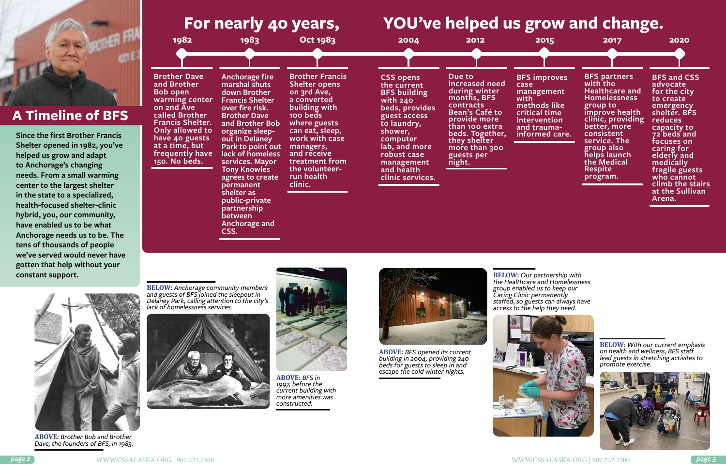

**ABOVE:** *Brother Bob and Brother Dave, the founders of BFS, in 1983.*

**BELOW:** *Anchorage community members and guests of BFS joined the sleepout in Delaney Park, calling attention to the city's lack of homelessness services.*





**ABOVE:** *BFS in 1997, before the current building with more amenities was constructed.*

**1982 1983 Oct 1983 2004 2012 2015 2017 2020 Brother Dave and Brother Bob open warming center on 2nd Ave called Brother Francis Shelter. Only allowed to have 40 guests at a time, but frequently have 150. No beds. Anchorage fire marshal shuts down Brother Francis Shelter over fire risk. Brother Dave and Brother Bob organize sleepout in Delaney Park to point out lack of homeless services. Mayor Tony Knowles agrees to create permanent shelter as public-private partnership between Anchorage and CSS. Due to increased need during winter months, BFS contracts Bean's Café to provide more than 100 extra beds. Together, they shelter more than 300 guests per night. Brother Francis Shelter opens on 3rd Ave, a converted building with 100 beds where guests can eat, sleep, work with case managers, and receive treatment from the volunteerrun health clinic. case with CSS opens the current BFS building with 240 beds, provides guest access to laundry, shower, computer lab, and more robust case management and health clinic services. For nearly 40 years, YOU've helped us grow and change.**

**BFS improves** 

**management** 

**methods like critical time intervention and traumainformed care.**

**BFS partners with the Healthcare and Homelessness group to improve health clinic, providing better, more consistent service. The group also helps launch the Medical Respite program.**

**BFS and CSS advocate for the city to create emergency shelter. BFS reduces capacity to 72 beds and focuses on caring for elderly and medically fragile guests who cannot climb the stairs at the Sullivan Arena.**

**Since the first Brother Francis Shelter opened in 1982, you've helped us grow and adapt to Anchorage's changing needs. From a small warming center to the largest shelter in the state to a specialized, health-focused shelter-clinic hybrid, you, our community, have enabled us to be what Anchorage needs us to be. The tens of thousands of people we've served would never have gotten that help without your constant support.** 



# **A Timeline of BFS**

**BELOW:** *With our current emphasis on health and wellness, BFS staff lead guests in stretching activites to promote exercise.*



**BELOW:** *Our partnership with the Healthcare and Homelessness group enabled us to keep our staffed, so guests can always have access to the help they need.*

*Caring Clinic permanently* 





**ABOVE:** *BFS opened its current building in 2004, providing 240 beds for guests to sleep in and escape the cold winter nights.*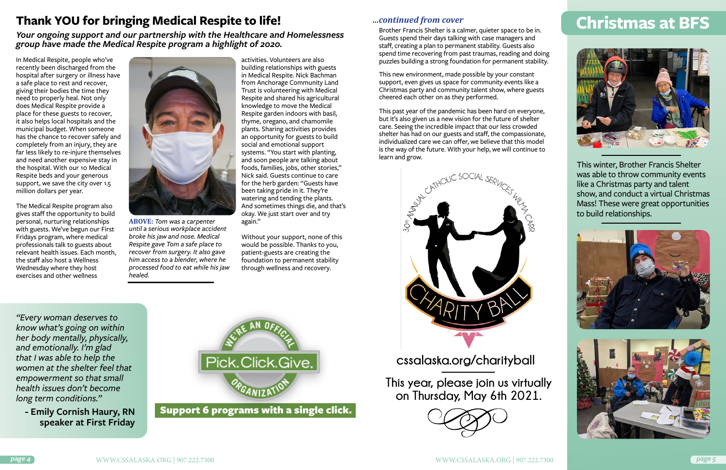In Medical Respite, people who've recently been discharged from the hospital after surgery or illness have a safe place to rest and recover, giving their bodies the time they need to properly heal. Not only does Medical Respite provide a place for these guests to recover, it also helps local hospitals and the municipal budget. When someone has the chance to recover safely and completely from an injury, they are far less likely to re-injure themselves and need another expensive stay in the hospital. With our 10 Medical Respite beds and your generous support, we save the city over 1.5 million dollars per year.

The Medical Respite program also gives staff the opportunity to build personal, nurturing relationships with guests. We've begun our First Fridays program, where medical professionals talk to guests about relevant health issues. Each month, the staff also host a Wellness Wednesday where they host exercises and other wellness



activities. Volunteers are also building relationships with guests in Medical Respite. Nick Bachman from Anchorage Community Land Trust is volunteering with Medical Respite and shared his agricultural knowledge to move the Medical Respite garden indoors with basil, thyme, oregano, and chamomile plants. Sharing activities provides an opportunity for guests to build social and emotional support systems. "You start with planting, and soon people are talking about foods, families, jobs, other stories," Nick said. Guests continue to care for the herb garden: "Guests have been taking pride in it. They're watering and tending the plants. And sometimes things die, and that's okay. We just start over and try again."

Without your support, none of this would be possible. Thanks to you, patient-guests are creating the foundation to permanent stability through wellness and recovery.

# **Thank YOU for bringing Medical Respite to life!**

*Your ongoing support and our partnership with the Healthcare and Homelessness group have made the Medical Respite program a highlight of 2020.*

*"Every woman deserves to know what's going on within her body mentally, physically, and emotionally. I'm glad that I was able to help the women at the shelter feel that empowerment so that small health issues don't become long term conditions."*

**- Emily Cornish Haury, RN speaker at First Friday**



**ABOVE:** *Tom was a carpenter until a serious workplace accident broke his jaw and nose. Medical Respite gave Tom a safe place to recover from surgery. It also gave him access to a blender, where he processed food to eat while his jaw healed.*

Support 6 programs with a single click.

This winter, Brother Francis Shelter was able to throw community events like a Christmas party and talent show, and conduct a virtual Christmas Mass! These were great opportunities to build relationships.







Guests spend their days talking with case managers and staff, creating a plan to permanent stability. Guests also spend time recovering from past traumas, reading and doing puzzles building a strong foundation for permanent stability.

This new environment, made possible by your constant support, even gives us space for community events like a Christmas party and community talent show, where guests cheered each other on as they performed.

This past year of the pandemic has been hard on everyone, but it's also given us a new vision for the future of shelter care. Seeing the incredible impact that our less crowded shelter has had on our guests and staff, the compassionate, individualized care we can offer, we believe that this model is the way of the future. With your help, we will continue to learn and grow.



#### *...continued from cover*

**This year, please join us virtually on Thursday, May 6th 2021.**



**cssalaska.org/charityball**

# **Christmas at BFS**<br>Brother Francis Shelter is a calmer, quieter space to be in. **Christmas at BFS**